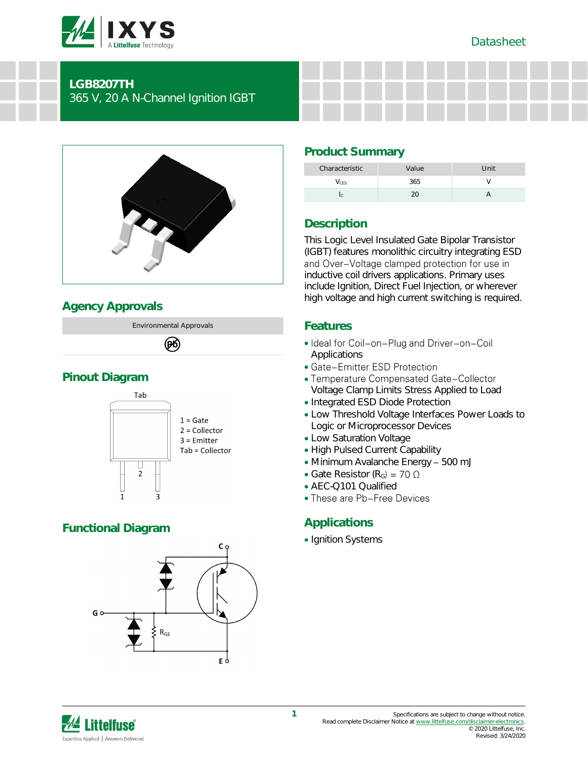



# **LGB8207TH**

365 V, 20 A N-Channel Ignition IGBT



# **Agency Approvals**

Environmental Approvals

# 网

# **Pinout Diagram**



# **Functional Diagram**



# **Product Summary**

| Characteristic | Value | Unit |
|----------------|-------|------|
| /ces           | 365   |      |
|                |       |      |

# **Description**

This Logic Level Insulated Gate Bipolar Transistor (IGBT) features monolithic circuitry integrating ESD<br>and Over-Voltage clamped protection for use in inductive coil drivers applications. Primary uses include Ignition, Direct Fuel Injection, or wherever high voltage and high current switching is required.

# **Features**

- Ideal for Coil-on-Plug and Driver-on-Coil Applications
- Gate-Emitter ESD Protection
- Temperature Compensated Gate-Collector Voltage Clamp Limits Stress Applied to Load
- Integrated ESD Diode Protection
- Low Threshold Voltage Interfaces Power Loads to Logic or Microprocessor Devices
- Low Saturation Voltage
- High Pulsed Current Capability
- Minimum Avalanche Energy 500 mJ
- Gate Resistor (R<sub>G</sub>) = 70  $\Omega$
- AEC-Q101 Qualified
- These are Pb-Free Devices

# **Applications**

• Ignition Systems

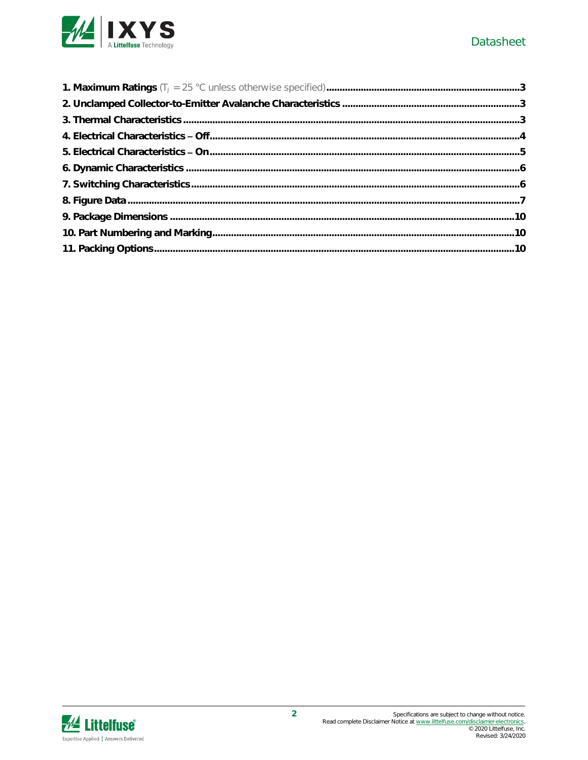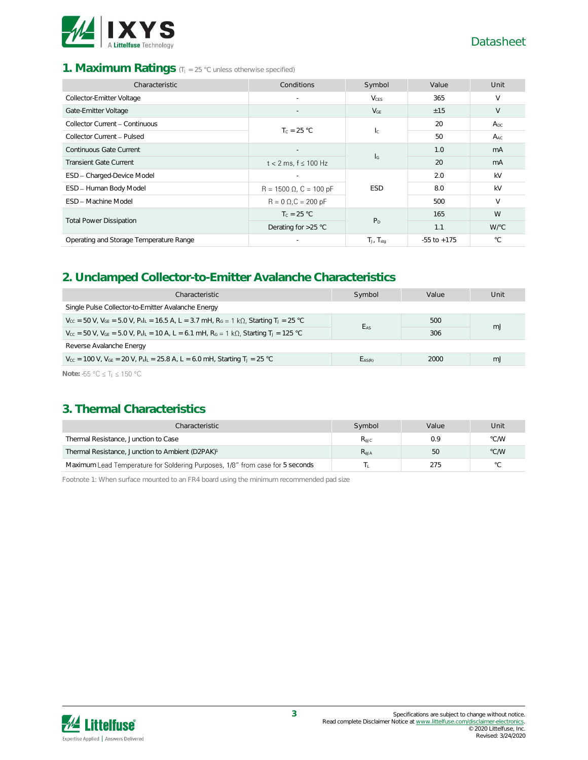

## 1. **Maximum Ratings** (TJ = 25 °C unless otherwise specified)

| Characteristic                          | Conditions                     | Symbol                    | Value           | Unit         |
|-----------------------------------------|--------------------------------|---------------------------|-----------------|--------------|
| Collector-Emitter Voltage               | $\sim$                         | $V_{CFS}$                 | 365             | $\vee$       |
| Gate-Emitter Voltage                    | $\overline{\phantom{a}}$       | $V_{GE}$                  | ±15             | V            |
| Collector Current - Continuous          | $T_c = 25 °C$                  |                           |                 | $A_{DC}$     |
| Collector Current - Pulsed              |                                | $\mathsf{I}_\mathsf{C}$   | 50              | $A_{AC}$     |
| Continuous Gate Current                 |                                |                           | 1.0             | mA           |
| <b>Transient Gate Current</b>           | $t < 2$ ms, $f \le 100$ Hz     | $\mathsf{I}_{\mathsf{G}}$ | 20              | mA           |
| ESD - Charged-Device Model              |                                |                           | 2.0             | kV           |
| ESD - Human Body Model                  | $R = 1500 \Omega$ , C = 100 pF | <b>ESD</b>                | 8.0             | kV           |
| <b>FSD</b> - Machine Model              | $R = 0 \Omega$ , $C = 200 pF$  |                           | 500             | $\vee$       |
|                                         | $T_c = 25 °C$                  | P <sub>D</sub>            | 165             | W            |
| <b>Total Power Dissipation</b>          | Derating for $>25$ °C          |                           | 1.1             | W/°C         |
| Operating and Storage Temperature Range | $\overline{\phantom{a}}$       | $T_J$ , $T_{stq}$         | $-55$ to $+175$ | $^{\circ}$ C |

# **2. Unclamped Collector-to-Emitter Avalanche Characteristics**

| Characteristic                                                                                                                                     | Symbol          | Value | Unit |  |
|----------------------------------------------------------------------------------------------------------------------------------------------------|-----------------|-------|------|--|
| Single Pulse Collector-to-Emitter Avalanche Energy                                                                                                 |                 |       |      |  |
| $V_{cc}$ = 50 V, $V_{GE}$ = 5.0 V, $P_{k L}$ = 16.5 A, L = 3.7 mH, $R_G$ = 1 k $\Omega$ , Starting T <sub>J</sub> = 25 °C                          | E <sub>AS</sub> | 500   |      |  |
| $V_{CC}$ = 50 V, V <sub>GE</sub> = 5.0 V, P <sub>kl</sub> <sub>L</sub> = 10 A, L = 6.1 mH, R <sub>G</sub> = 1 kΩ, Starting T <sub>J</sub> = 125 °C |                 | 306   | mJ   |  |
| Reverse Avalanche Energy                                                                                                                           |                 |       |      |  |
| $V_{\text{CC}}$ = 100 V, $V_{\text{GE}}$ = 20 V, $P_{\text{k}}I_{\text{L}}$ = 25.8 A, L = 6.0 mH, Starting T <sub>J</sub> = 25 °C                  | $E_{AS(R)}$     | 2000  | mJ   |  |
| Note: -55 °C $\leq$ T <sub>i</sub> $\leq$ 150 °C                                                                                                   |                 |       |      |  |

# **3. Thermal Characteristics**

| Characteristic                                                                | Symbol    | Value | Unit           |
|-------------------------------------------------------------------------------|-----------|-------|----------------|
| Thermal Resistance, Junction to Case                                          | Reic      | 0.9   | °C/W           |
| Thermal Resistance, Junction to Ambient (D2PAK) <sup>1</sup>                  | $R_{AJA}$ | 50    | °C/W           |
| Maximum Lead Temperature for Soldering Purposes, 1/8" from case for 5 seconds |           | 275   | $\circ$ $\cap$ |

Footnote 1: When surface mounted to an FR4 board using the minimum recommended pad size

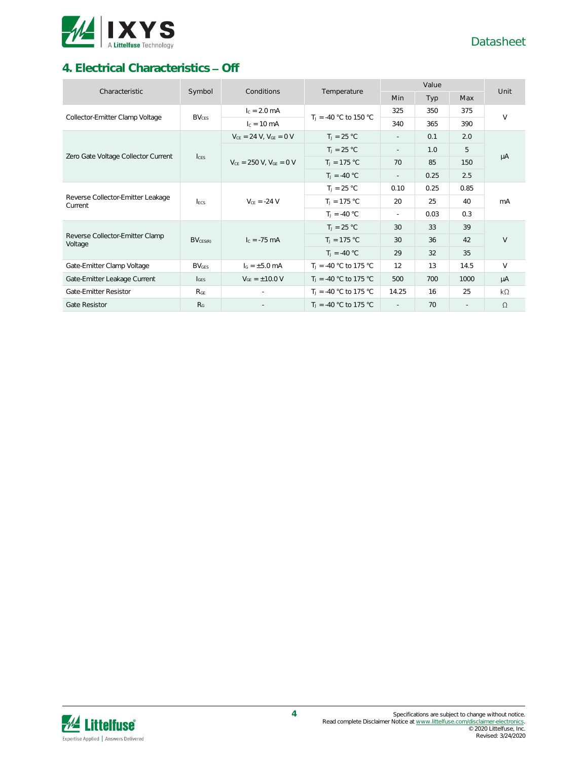

# **4. Electrical Characteristics - Off**

| Characteristic                               | Symbol           | Conditions                       | Temperature              |                          | Unit |        |           |  |
|----------------------------------------------|------------------|----------------------------------|--------------------------|--------------------------|------|--------|-----------|--|
|                                              |                  |                                  |                          | Min                      | Typ  | Max    |           |  |
| Collector-Emitter Clamp Voltage              | $BV_{CES}$       | $I_c = 2.0$ mA                   | $T_1 = -40$ °C to 150 °C | 325                      | 350  | 375    | $\vee$    |  |
|                                              |                  | $c = 10 \text{ mA}$              |                          | 340                      | 365  | 390    |           |  |
|                                              |                  | $V_{CE} = 24 V$ , $V_{GE} = 0 V$ | $T_1 = 25 °C$            | $\sim$                   | 0.1  | 2.0    |           |  |
|                                              |                  |                                  | $T_1 = 25 °C$            | $\overline{\phantom{a}}$ | 1.0  | 5      |           |  |
| Zero Gate Voltage Collector Current          | $l_{\text{CES}}$ | $V_{CE}$ = 250 V, $V_{GE}$ = 0 V | $T_J = 175 °C$           | 70                       | 85   | 150    | μA        |  |
|                                              |                  |                                  | $T_1 = -40 °C$           | $\sim$                   | 0.25 | 2.5    |           |  |
|                                              | <b>LECS</b>      | $V_{CF} = -24 V$                 | $T_1 = 25 °C$            | 0.10                     | 0.25 | 0.85   | mA        |  |
| Reverse Collector-Emitter Leakage<br>Current |                  |                                  | $T_1 = 175 °C$           | 20                       | 25   | 40     |           |  |
|                                              |                  |                                  | $T_J = -40 °C$           | $\sim$                   | 0.03 | 0.3    |           |  |
|                                              | $BV_{CES(R)}$    | $I_c = -75$ mA                   | $T_1 = 25 °C$            | 30                       | 33   | 39     |           |  |
| Reverse Collector-Emitter Clamp<br>Voltage   |                  |                                  | $T_J = 175 °C$           | 30                       | 36   | 42     | V         |  |
|                                              |                  |                                  | $T_1 = -40 °C$           | 29                       | 32   | 35     |           |  |
| Gate-Emitter Clamp Voltage                   | <b>BVGES</b>     | $I_G = \pm 5.0$ mA               | $T_1 = -40$ °C to 175 °C | 12                       | 13   | 14.5   | $\vee$    |  |
| Gate-Emitter Leakage Current                 | $I_{GFS}$        | $V_{GF} = \pm 10.0 V$            | $T_1 = -40$ °C to 175 °C | 500                      | 700  | 1000   | μA        |  |
| Gate-Emitter Resistor                        | $R_{GE}$         | $\sim$                           | $T_1 = -40$ °C to 175 °C | 14.25                    | 16   | 25     | $k\Omega$ |  |
| <b>Gate Resistor</b>                         | R <sub>G</sub>   |                                  | $T_1 = -40$ °C to 175 °C | $\sim$                   | 70   | $\sim$ | $\Omega$  |  |

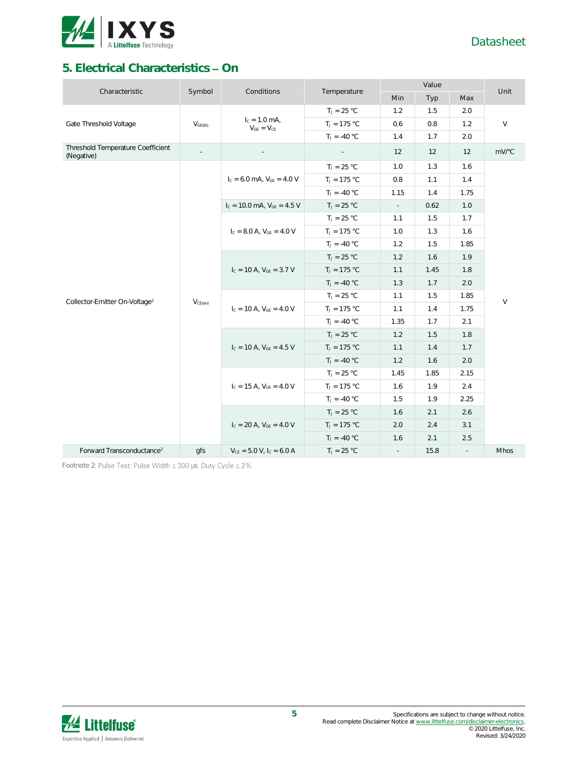

# **5. Electrical Characteristics - On**

| Characteristic                                  |                          | Conditions                           |                | Value                       |      |                | Unit   |
|-------------------------------------------------|--------------------------|--------------------------------------|----------------|-----------------------------|------|----------------|--------|
|                                                 | Symbol                   |                                      | Temperature    | Min                         | Typ  | Max            |        |
|                                                 |                          |                                      | $T_J = 25 °C$  | 1.2                         | 1.5  | 2.0            |        |
| Gate Threshold Voltage                          | $V_{GE(th)}$             | $I_c = 1.0$ mA,<br>$V_{GE} = V_{CE}$ | $T_J = 175 °C$ | 0.6                         | 0.8  | 1.2            | $\vee$ |
|                                                 |                          |                                      | $T_J = -40 °C$ | 1.4                         | 1.7  | 2.0            |        |
| Threshold Temperature Coefficient<br>(Negative) | $\overline{\phantom{a}}$ |                                      |                | 12                          | 12   | 12             | mV/°C  |
|                                                 |                          |                                      | $T_J = 25 °C$  | 1.0                         | 1.3  | 1.6            |        |
|                                                 |                          | $I_c = 6.0$ mA, $V_{GF} = 4.0$ V     | $T_J = 175 °C$ | 0.8                         | 1.1  | 1.4            |        |
|                                                 |                          |                                      | $T_J = -40 °C$ | 1.15                        | 1.4  | 1.75           |        |
|                                                 |                          | $I_c = 10.0$ mA, $V_{GE} = 4.5$ V    | $T_J = 25 °C$  | $\sim$                      | 0.62 | 1.0            |        |
|                                                 |                          |                                      | $T_J = 25 °C$  | 1.1                         | 1.5  | 1.7            |        |
|                                                 |                          | $I_{C} = 8.0 A, V_{GE} = 4.0 V$      | $T_J = 175 °C$ | 1.0                         | 1.3  | 1.6            | $\vee$ |
|                                                 |                          |                                      | $T_1 = -40 °C$ | 1.2                         | 1.5  | 1.85           |        |
|                                                 |                          | $I_c = 10$ A, $V_{GE} = 3.7$ V       | $T_J = 25 °C$  | 1.2                         | 1.6  | 1.9            |        |
|                                                 |                          |                                      | $T_J = 175 °C$ | 1.1                         | 1.45 | 1.8            |        |
|                                                 |                          |                                      | $T_J = -40 °C$ | 1.3                         | 1.7  | 2.0            |        |
| Collector-Emitter On-Voltage <sup>2</sup>       | $V_{CE(on)}$             | $I_c = 10$ A, $V_{GE} = 4.0$ V       | $T_J = 25 °C$  | 1.1                         | 1.5  | 1.85           |        |
|                                                 |                          |                                      | $T_J = 175 °C$ | 1.1                         | 1.4  | 1.75           |        |
|                                                 |                          |                                      | $T_J = -40 °C$ | 1.35                        | 1.7  | 2.1            |        |
|                                                 |                          |                                      | $T_J = 25 °C$  | 1.2                         | 1.5  | 1.8            |        |
|                                                 |                          | $I_c = 10 A$ , $V_{GE} = 4.5 V$      | $T_J = 175 °C$ | 1.1                         | 1.4  | 1.7            |        |
|                                                 |                          |                                      | $T_1 = -40 °C$ | 1.2                         | 1.6  | 2.0            |        |
|                                                 |                          |                                      | $T_J = 25 °C$  | 1.45                        | 1.85 | 2.15           |        |
|                                                 |                          | $I_c = 15$ A, $V_{GE} = 4.0$ V       | $T_J = 175 °C$ | 1.6                         | 1.9  | 2.4            |        |
|                                                 |                          |                                      | $T_J = -40 °C$ | 1.5                         | 1.9  | 2.25           |        |
|                                                 |                          |                                      | $T_J = 25 °C$  | 1.6                         | 2.1  | 2.6            |        |
|                                                 |                          | $I_c = 20$ A, $V_{GE} = 4.0$ V       | $T_J = 175 °C$ | 2.0                         | 2.4  | 3.1            |        |
|                                                 |                          |                                      | $T_J = -40 °C$ | 1.6                         | 2.1  | 2.5            |        |
| Forward Transconductance <sup>2</sup>           | gfs                      | $V_{CE} = 5.0 V, I_C = 6.0 A$        | $T_J = 25 °C$  | $\mathcal{L}_{\mathcal{A}}$ | 15.8 | $\mathbb{Z}^2$ | Mhos   |

Footnote 2: Pulse Test: Pulse Width  $\leq 300$  µs, Duty Cycle  $\leq 2\%$ 

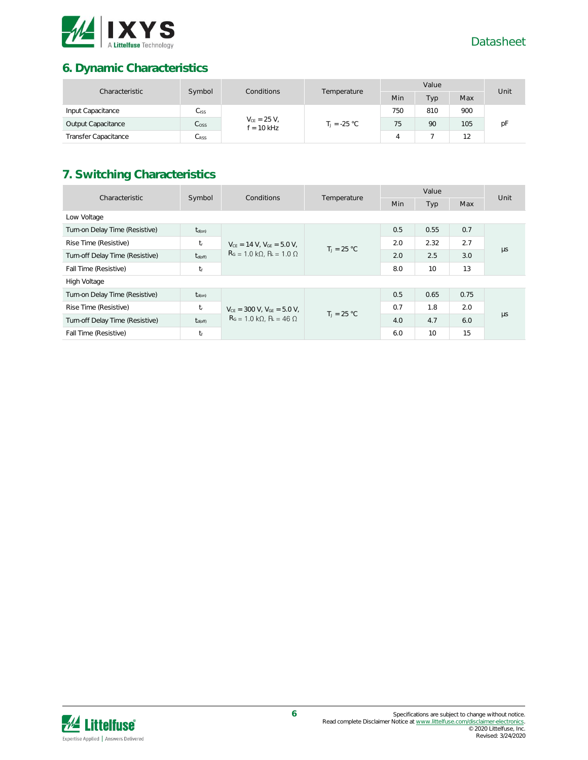

# **6. Dynamic Characteristics**

| Characteristic              | Symbol<br>Conditions |                                  | Value          |     |     | Unit |    |
|-----------------------------|----------------------|----------------------------------|----------------|-----|-----|------|----|
|                             |                      |                                  | Temperature    | Min | Typ | Max  |    |
| Input Capacitance           | $C_{\text{ISS}}$     | $V_{CE} = 25 V,$<br>$f = 10$ kHz |                | 750 | 810 | 900  |    |
| Output Capacitance          | $C_{\rm OSS}$        |                                  | $T_1 = -25 °C$ | 75  | 90  | 105  | рF |
| <b>Transfer Capacitance</b> | $C_{\rm RSS}$        |                                  |                |     |     | 12   |    |

# **7. Switching Characteristics**

| Characteristic                  |              | Symbol<br>Conditions                                                                   | Temperature   | Value |      |      | Unit    |
|---------------------------------|--------------|----------------------------------------------------------------------------------------|---------------|-------|------|------|---------|
|                                 |              | <b>Min</b>                                                                             | Typ           | Max   |      |      |         |
| Low Voltage                     |              |                                                                                        |               |       |      |      |         |
| Turn-on Delay Time (Resistive)  | $t_{d(on)}$  |                                                                                        |               | 0.5   | 0.55 | 0.7  |         |
| Rise Time (Resistive)           | $t_{\rm r}$  | $V_{CE} = 14 V$ , $V_{GE} = 5.0 V$ ,<br>$R_G = 1.0 k\Omega$ , $R_L = 1.0 \Omega$       | $T_1 = 25 °C$ | 2.0   | 2.32 | 2.7  | $\mu s$ |
| Turn-off Delay Time (Resistive) | $t_{d(off)}$ |                                                                                        |               | 2.0   | 2.5  | 3.0  |         |
| Fall Time (Resistive)           | $t_f$        |                                                                                        |               | 8.0   | 10   | 13   |         |
| High Voltage                    |              |                                                                                        |               |       |      |      |         |
| Turn-on Delay Time (Resistive)  | $t_{d(on)}$  | $V_{CE}$ = 300 V, $V_{GE}$ = 5.0 V,<br>$R_G = 1.0 \text{ k}\Omega$ , $R_1 = 46 \Omega$ | $T_1 = 25 °C$ | 0.5   | 0.65 | 0.75 |         |
| Rise Time (Resistive)           | $t_{\rm r}$  |                                                                                        |               | 0.7   | 1.8  | 2.0  |         |
| Turn-off Delay Time (Resistive) | $t_{d(off)}$ |                                                                                        |               | 4.0   | 4.7  | 6.0  | $\mu s$ |
| Fall Time (Resistive)           | tr           |                                                                                        |               | 6.0   | 10   | 15   |         |

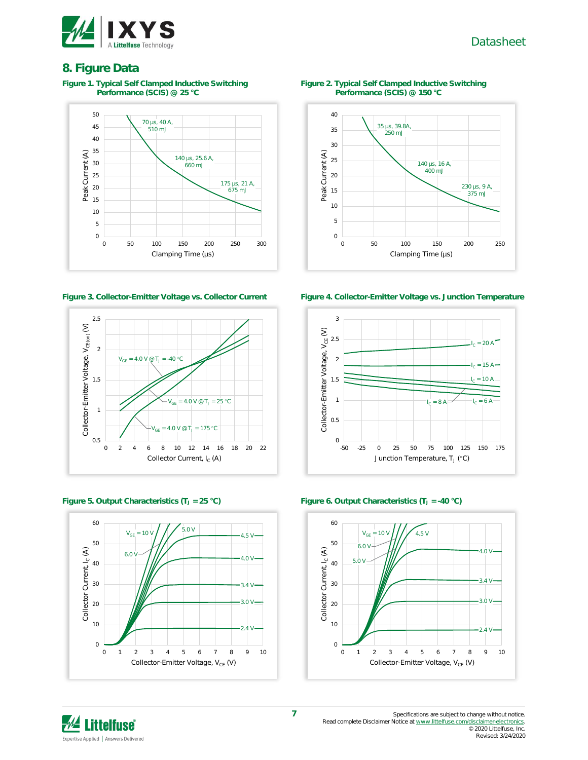

## **8. Figure Data**

**Figure 1. Typical Self Clamped Inductive Switching Performance (SCIS) @ 25 °C**









**Figure 2. Typical Self Clamped Inductive Switching Performance (SCIS) @ 150 °C**



**Figure 3. Collector-Emitter Voltage vs. Collector Current Figure 4. Collector-Emitter Voltage vs. Junction Temperature**





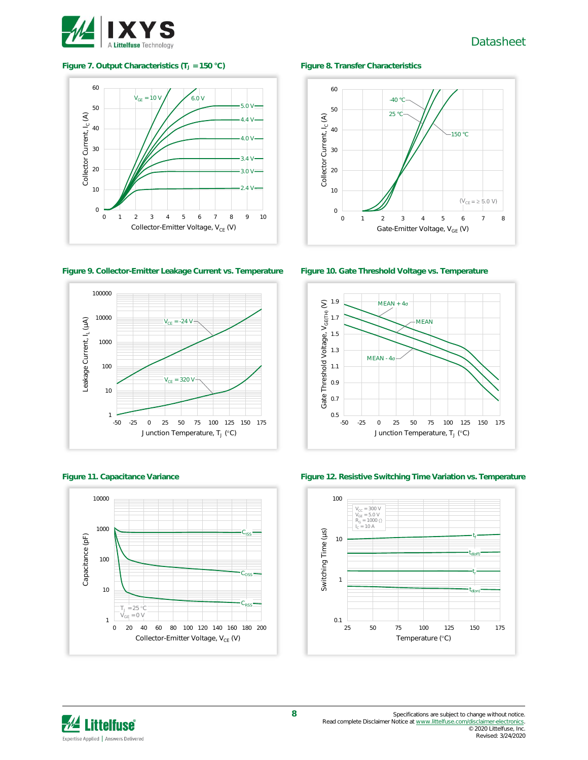

#### **Figure 7. Output Characteristics (T<sup>J</sup> = 150 °C) Figure 8. Transfer Characteristics**



**Figure 9. Collector-Emitter Leakage Current vs. Temperature Figure 10. Gate Threshold Voltage vs. Temperature**









**Figure 11. Capacitance Variance Figure 12. Resistive Switching Time Variation vs. Temperature**



# $M$  Littelfuse Expertise Applied | Answers Delivered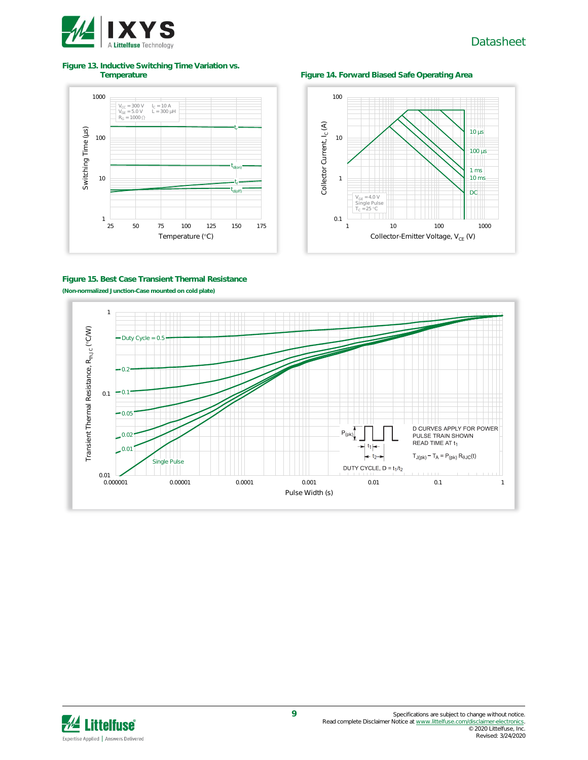

# **Figure 13. Inductive Switching Time Variation vs.**

## **Figure 14. Forward Biased Safe Operating Area**





### **Figure 15. Best Case Transient Thermal Resistance (Non-normalized Junction-Case mounted on cold plate)**